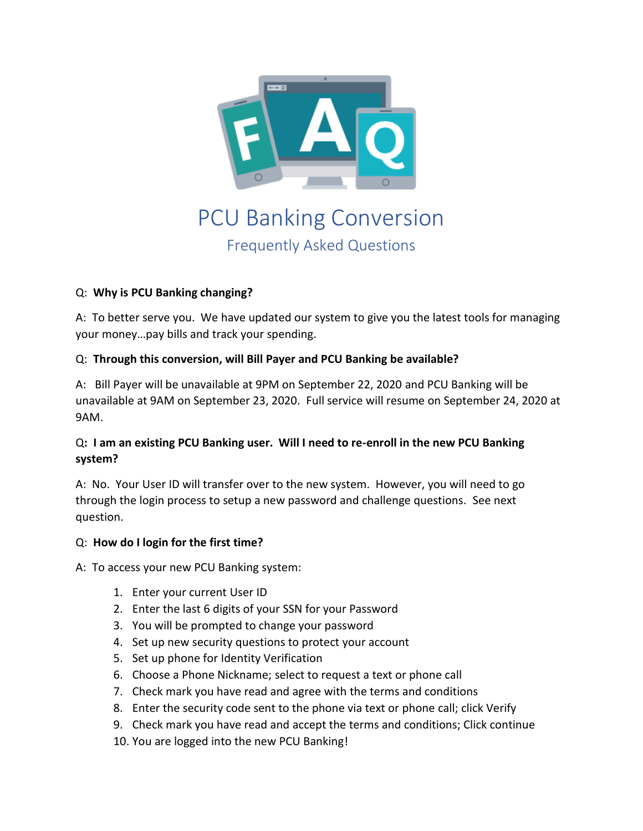

# PCU Banking Conversion Frequently Asked Questions

# Q: **Why is PCU Banking changing?**

A: To better serve you. We have updated our system to give you the latest tools for managing your money…pay bills and track your spending.

# Q: **Through this conversion, will Bill Payer and PCU Banking be available?**

A: Bill Payer will be unavailable at 9PM on September 22, 2020 and PCU Banking will be unavailable at 9AM on September 23, 2020. Full service will resume on September 24, 2020 at 9AM.

# Q**: I am an existing PCU Banking user. Will I need to re-enroll in the new PCU Banking system?**

A: No. Your User ID will transfer over to the new system. However, you will need to go through the login process to setup a new password and challenge questions. See next question.

## Q: **How do I login for the first time?**

A: To access your new PCU Banking system:

- 1. Enter your current User ID
- 2. Enter the last 6 digits of your SSN for your Password
- 3. You will be prompted to change your password
- 4. Set up new security questions to protect your account
- 5. Set up phone for Identity Verification
- 6. Choose a Phone Nickname; select to request a text or phone call
- 7. Check mark you have read and agree with the terms and conditions
- 8. Enter the security code sent to the phone via text or phone call; click Verify
- 9. Check mark you have read and accept the terms and conditions; Click continue
- 10. You are logged into the new PCU Banking!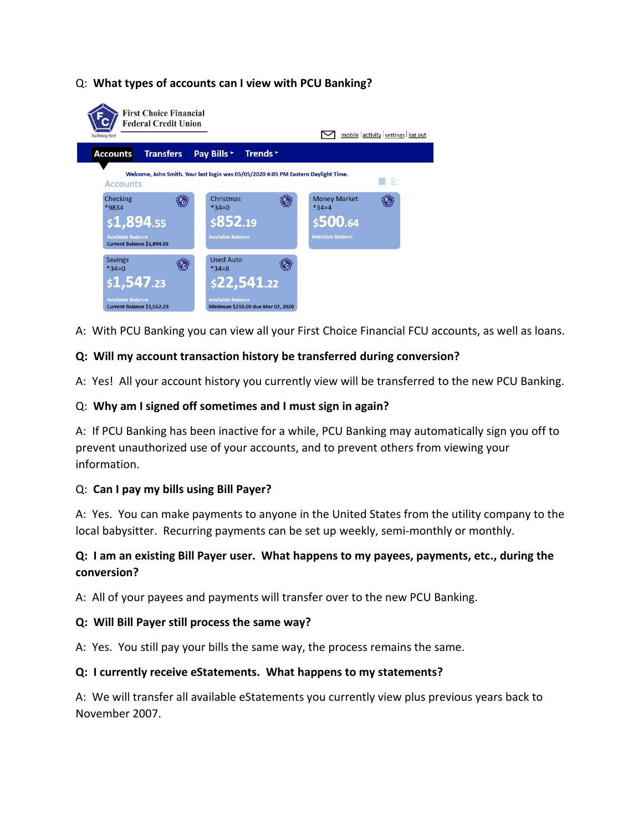#### Q: **What types of accounts can I view with PCU Banking?**



A: With PCU Banking you can view all your First Choice Financial FCU accounts, as well as loans.

#### **Q: Will my account transaction history be transferred during conversion?**

A: Yes! All your account history you currently view will be transferred to the new PCU Banking.

#### Q: **Why am I signed off sometimes and I must sign in again?**

A: If PCU Banking has been inactive for a while, PCU Banking may automatically sign you off to prevent unauthorized use of your accounts, and to prevent others from viewing your information.

## Q: **Can I pay my bills using Bill Payer?**

A: Yes. You can make payments to anyone in the United States from the utility company to the local babysitter. Recurring payments can be set up weekly, semi-monthly or monthly.

# **Q: I am an existing Bill Payer user. What happens to my payees, payments, etc., during the conversion?**

A: All of your payees and payments will transfer over to the new PCU Banking.

#### **Q: Will Bill Payer still process the same way?**

A: Yes. You still pay your bills the same way, the process remains the same.

#### **Q: I currently receive eStatements. What happens to my statements?**

A: We will transfer all available eStatements you currently view plus previous years back to November 2007.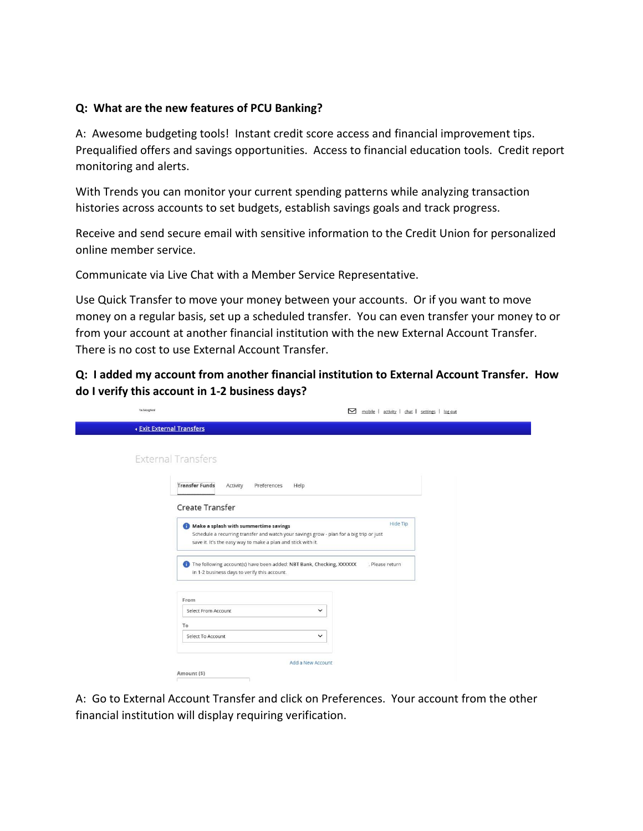#### **Q: What are the new features of PCU Banking?**

A: Awesome budgeting tools! Instant credit score access and financial improvement tips. Prequalified offers and savings opportunities. Access to financial education tools. Credit report monitoring and alerts.

With Trends you can monitor your current spending patterns while analyzing transaction histories across accounts to set budgets, establish savings goals and track progress.

Receive and send secure email with sensitive information to the Credit Union for personalized online member service.

Communicate via Live Chat with a Member Service Representative.

Use Quick Transfer to move your money between your accounts. Or if you want to move money on a regular basis, set up a scheduled transfer. You can even transfer your money to or from your account at another financial institution with the new External Account Transfer. There is no cost to use External Account Transfer.

**Q: I added my account from another financial institution to External Account Transfer. How do I verify this account in 1-2 business days?**

| You Belong Here!               | 罓                                                                                                                                                                                                            | mobile   activity   chat   settings   log out |
|--------------------------------|--------------------------------------------------------------------------------------------------------------------------------------------------------------------------------------------------------------|-----------------------------------------------|
| <b>Exit External Transfers</b> |                                                                                                                                                                                                              |                                               |
|                                | <b>External Transfers</b>                                                                                                                                                                                    |                                               |
|                                | <b>Transfer Funds</b><br>Preferences<br>Activity<br>Help                                                                                                                                                     |                                               |
|                                | Create Transfer                                                                                                                                                                                              |                                               |
|                                | Hide Tip<br>Make a splash with summertime savings<br>Schedule a recurring transfer and watch your savings grow - plan for a big trip or just<br>save it. It's the easy way to make a plan and stick with it. |                                               |
|                                | The following account(s) have been added: NBT Bank, Checking, XXXXXX<br>in 1-2 business days to verify this account.                                                                                         | Please return                                 |
|                                | From<br>$\check{~}$<br>Select From Account                                                                                                                                                                   |                                               |
|                                | To<br>$\check{~}$<br>Select To Account                                                                                                                                                                       |                                               |
|                                | Add a New Account                                                                                                                                                                                            |                                               |
|                                | Amount (\$)                                                                                                                                                                                                  |                                               |

A: Go to External Account Transfer and click on Preferences. Your account from the other financial institution will display requiring verification.